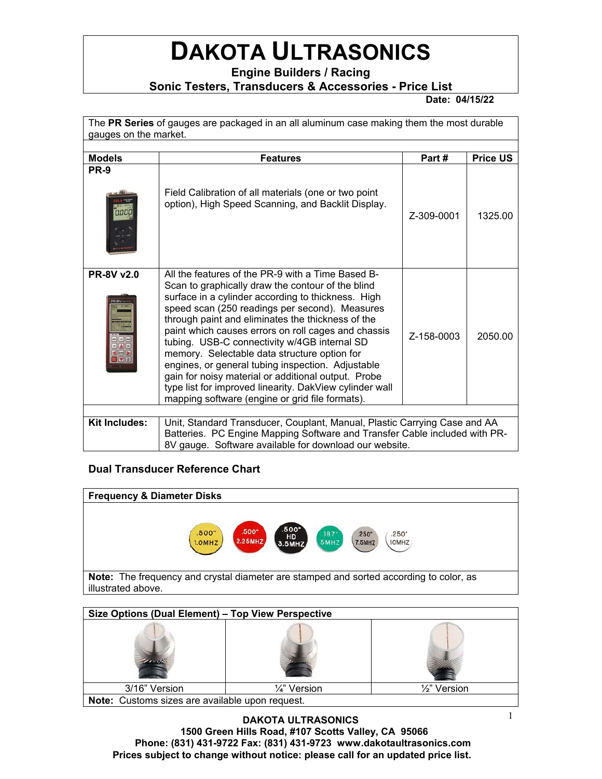## **DAKOTA ULTRASONICS**

**Engine Builders / Racing** 

**Sonic Testers, Transducers & Accessories - Price List** 

 **Date: 04/15/22** 

The **PR Series** of gauges are packaged in an all aluminum case making them the most durable gauges on the market.

| <b>Models</b>     | <b>Features</b>                                                                                                                                                                                                                                                                                                                                                                                                                                                                                                                                                                                                                                      | Part#      | <b>Price US</b> |  |  |
|-------------------|------------------------------------------------------------------------------------------------------------------------------------------------------------------------------------------------------------------------------------------------------------------------------------------------------------------------------------------------------------------------------------------------------------------------------------------------------------------------------------------------------------------------------------------------------------------------------------------------------------------------------------------------------|------------|-----------------|--|--|
| <b>PR-9</b>       | Field Calibration of all materials (one or two point<br>option), High Speed Scanning, and Backlit Display.                                                                                                                                                                                                                                                                                                                                                                                                                                                                                                                                           | Z-309-0001 | 1325.00         |  |  |
| <b>PR-8V v2.0</b> | All the features of the PR-9 with a Time Based B-<br>Scan to graphically draw the contour of the blind<br>surface in a cylinder according to thickness. High<br>speed scan (250 readings per second). Measures<br>through paint and eliminates the thickness of the<br>paint which causes errors on roll cages and chassis<br>tubing. USB-C connectivity w/4GB internal SD<br>memory. Selectable data structure option for<br>engines, or general tubing inspection. Adjustable<br>gain for noisy material or additional output. Probe<br>type list for improved linearity. DakView cylinder wall<br>mapping software (engine or grid file formats). | Z-158-0003 | 2050.00         |  |  |
|                   |                                                                                                                                                                                                                                                                                                                                                                                                                                                                                                                                                                                                                                                      |            |                 |  |  |
| Kit Includes:     | Unit, Standard Transducer, Couplant, Manual, Plastic Carrying Case and AA<br>Batteries. PC Engine Mapping Software and Transfer Cable included with PR-<br>8V gauge. Software available for download our website.                                                                                                                                                                                                                                                                                                                                                                                                                                    |            |                 |  |  |

## **Dual Transducer Reference Chart**



| Size Options (Dual Element) - Top View Perspective |              |                         |  |  |  |
|----------------------------------------------------|--------------|-------------------------|--|--|--|
|                                                    |              |                         |  |  |  |
| 3/16" Version                                      | 1⁄4" Version | $\frac{1}{2}$ " Version |  |  |  |
| Note: Customs sizes are available upon request.    |              |                         |  |  |  |

**DAKOTA ULTRASONICS 1500 Green Hills Road, #107 Scotts Valley, CA 95066 Phone: (831) 431-9722 Fax: (831) 431-9723 www.dakotaultrasonics.com Prices subject to change without notice: please call for an updated price list.**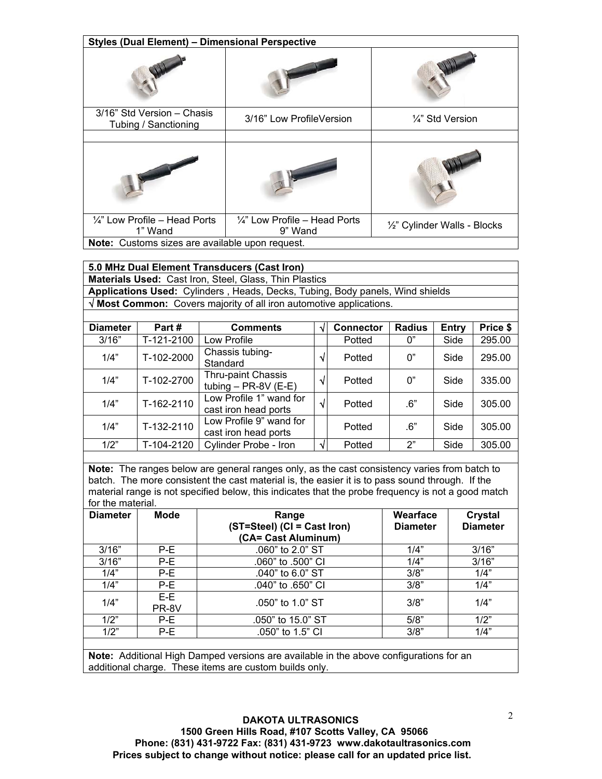| <b>Styles (Dual Element) - Dimensional Perspective</b> |                                                     |                              |  |  |
|--------------------------------------------------------|-----------------------------------------------------|------------------------------|--|--|
|                                                        |                                                     |                              |  |  |
| 3/16" Std Version - Chasis<br>Tubing / Sanctioning     | 3/16" Low ProfileVersion                            | 1⁄4" Std Version             |  |  |
|                                                        |                                                     |                              |  |  |
|                                                        |                                                     |                              |  |  |
| $\frac{1}{4}$ " Low Profile – Head Ports<br>1" Wand    | $\frac{1}{4}$ " Low Profile – Head Ports<br>9" Wand | 1/2" Cylinder Walls - Blocks |  |  |
| Note: Customs sizes are available upon request.        |                                                     |                              |  |  |

| 5.0 MHz Dual Element Transducers (Cast Iron)                                  |
|-------------------------------------------------------------------------------|
| <b>Materials Used: Cast Iron, Steel, Glass, Thin Plastics</b>                 |
| Applications Used: Cylinders, Heads, Decks, Tubing, Body panels, Wind shields |
| $\sqrt{M}$ Most Common: Covers majority of all iron automotive applications.  |

| <b>Diameter</b> | Part#      | <b>Comments</b>                                 | <b>Connector</b> | <b>Radius</b> | Entry | Price \$ |
|-----------------|------------|-------------------------------------------------|------------------|---------------|-------|----------|
| 3/16"           | T-121-2100 | Low Profile                                     | Potted           | 0"            | Side  | 295.00   |
| 1/4"            | T-102-2000 | Chassis tubing-<br>Standard                     | Potted           | 0"            | Side  | 295.00   |
| 1/4"            | T-102-2700 | Thru-paint Chassis<br>tubing $-$ PR-8V (E-E)    | Potted           | 0"            | Side  | 335.00   |
| 1/4"            | T-162-2110 | Low Profile 1" wand for<br>cast iron head ports | Potted           | .6"           | Side  | 305.00   |
| 1/4"            | T-132-2110 | Low Profile 9" wand for<br>cast iron head ports | Potted           | .6"           | Side  | 305.00   |
| 1/2"            | T-104-2120 | Cylinder Probe - Iron                           | Potted           | 2"            | Side  | 305.00   |

**Note:** The ranges below are general ranges only, as the cast consistency varies from batch to batch. The more consistent the cast material is, the easier it is to pass sound through. If the material range is not specified below, this indicates that the probe frequency is not a good match for the material.

| <b>Diameter</b> | Mode           | Range<br>(ST=Steel) (CI = Cast Iron) | Wearface<br><b>Diameter</b> | Crystal<br><b>Diameter</b> |
|-----------------|----------------|--------------------------------------|-----------------------------|----------------------------|
|                 |                | (CA= Cast Aluminum)                  |                             |                            |
| 3/16"           | P-E            | .060" to 2.0" ST                     | 1/4"                        | 3/16"                      |
| 3/16"           | P-E            | .060" to .500" CI                    | 1/4"                        | 3/16"                      |
| 1/4"            | P-E            | $.040$ " to 6.0" ST                  | 3/8"                        | 1/4"                       |
| 1/4"            | P-E            | .040" to .650" CI                    | 3/8"                        | 1/4"                       |
| 1/4"            | $E-E$<br>PR-8V | $.050$ " to 1.0" ST                  | 3/8"                        | 1/4"                       |
| 1/2"            | P-E            | .050" to 15.0" ST                    | 5/8"                        | 1/2"                       |
| 1/2"            | P-E            | .050" to 1.5" CI                     | 3/8"                        | 1/4"                       |
|                 |                |                                      |                             |                            |

**Note:** Additional High Damped versions are available in the above configurations for an additional charge. These items are custom builds only.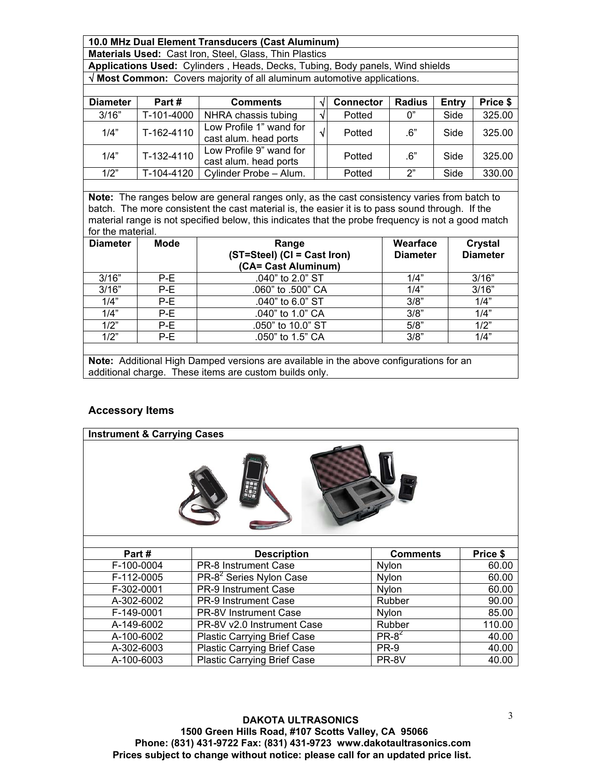**10.0 MHz Dual Element Transducers (Cast Aluminum)** 

**Materials Used:** Cast Iron, Steel, Glass, Thin Plastics

**Applications Used:** Cylinders , Heads, Decks, Tubing, Body panels, Wind shields  **Most Common:** Covers majority of all aluminum automotive applications.

| <b>Diameter</b> | Part#      | <b>Comments</b>                                  |            | <b>Connector</b> | <b>Radius</b> | Entry | Price \$ |
|-----------------|------------|--------------------------------------------------|------------|------------------|---------------|-------|----------|
| 3/16"           | T-101-4000 | NHRA chassis tubing                              | V          | Potted           | 0"            | Side  | 325.00   |
| 1/4"            | T-162-4110 | Low Profile 1" wand for<br>cast alum. head ports | $\sqrt{ }$ | Potted           | .6"           | Side  | 325.00   |
| 1/4"            | T-132-4110 | Low Profile 9" wand for<br>cast alum. head ports |            | Potted           | .6"           | Side  | 325.00   |
| 1/2"            | T-104-4120 | Cylinder Probe - Alum.                           |            | Potted           | 2"            | Side  | 330.00   |

**Note:** The ranges below are general ranges only, as the cast consistency varies from batch to batch. The more consistent the cast material is, the easier it is to pass sound through. If the material range is not specified below, this indicates that the probe frequency is not a good match for the material.

| <b>Diameter</b> | Mode | Range<br>(ST=Steel) (CI = Cast Iron)<br>(CA= Cast Aluminum)                            | Wearface<br><b>Diameter</b> | Crystal<br><b>Diameter</b> |
|-----------------|------|----------------------------------------------------------------------------------------|-----------------------------|----------------------------|
| 3/16"           | P-E  | .040" to 2.0" ST                                                                       | 1/4"                        | 3/16"                      |
| 3/16"           | P-E  | .060" to .500" CA                                                                      | 1/4"                        | 3/16"                      |
| 1/4"            | P-E  | .040" to 6.0" ST                                                                       | 3/8"                        | 1/4"                       |
| 1/4"            | P-E  | .040" to 1.0" CA                                                                       | 3/8"                        | 1/4"                       |
| 1/2"            | P-E  | .050" to 10.0" ST                                                                      | 5/8"                        | 1/2"                       |
| 1/2"            | P-E  | .050" to 1.5" CA                                                                       | 3/8"                        | 1/4"                       |
|                 |      | Nata: Additional Ujah Domnad varsiona are available in the above configurations for an |                             |                            |

**Note:** Additional High Damped versions are available in the above configurations for an additional charge. These items are custom builds only.

## **Accessory Items**

| <b>Instrument &amp; Carrying Cases</b> |                                     |                 |          |  |  |
|----------------------------------------|-------------------------------------|-----------------|----------|--|--|
|                                        |                                     |                 |          |  |  |
| Part#                                  | <b>Description</b>                  | <b>Comments</b> | Price \$ |  |  |
| F-100-0004                             | <b>PR-8 Instrument Case</b>         | Nylon           | 60.00    |  |  |
| F-112-0005                             | PR-8 <sup>2</sup> Series Nylon Case | Nylon           | 60.00    |  |  |
| F-302-0001                             | <b>PR-9 Instrument Case</b>         | Nylon           | 60.00    |  |  |
| A-302-6002                             | <b>PR-9 Instrument Case</b>         | Rubber          | 90.00    |  |  |
| F-149-0001                             | <b>PR-8V Instrument Case</b>        | Nylon           | 85.00    |  |  |
| A-149-6002                             | PR-8V v2.0 Instrument Case          | Rubber          | 110.00   |  |  |
| A-100-6002                             | <b>Plastic Carrying Brief Case</b>  | $PR-8^2$        | 40.00    |  |  |
| A-302-6003                             | <b>Plastic Carrying Brief Case</b>  | PR-9            | 40.00    |  |  |

A-100-6003 Plastic Carrying Brief Case PR-8V 10.00

**DAKOTA ULTRASONICS 1500 Green Hills Road, #107 Scotts Valley, CA 95066 Phone: (831) 431-9722 Fax: (831) 431-9723 www.dakotaultrasonics.com Prices subject to change without notice: please call for an updated price list.**